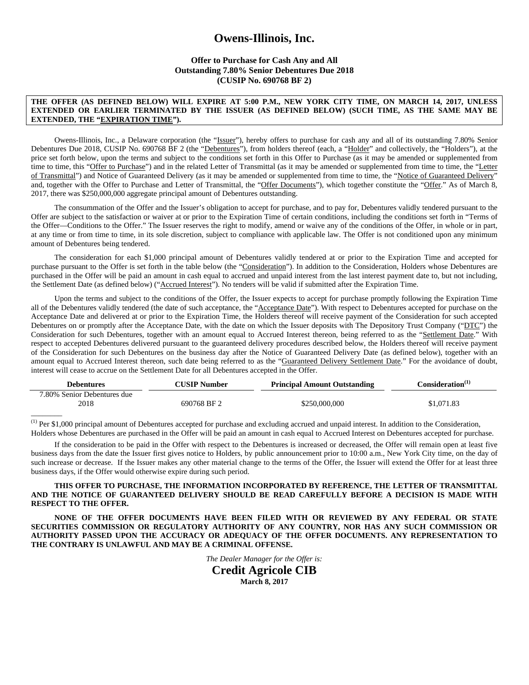# **Owens-Illinois, Inc.**

## **Offer to Purchase for Cash Any and All Outstanding 7.80% Senior Debentures Due 2018 (CUSIP No. 690768 BF 2)**

#### **THE OFFER (AS DEFINED BELOW) WILL EXPIRE AT 5:00 P.M., NEW YORK CITY TIME, ON MARCH 14, 2017, UNLESS EXTENDED OR EARLIER TERMINATED BY THE ISSUER (AS DEFINED BELOW) (SUCH TIME, AS THE SAME MAY BE EXTENDED, THE "EXPIRATION TIME").**

Owens-Illinois, Inc., a Delaware corporation (the "Issuer"), hereby offers to purchase for cash any and all of its outstanding 7.80% Senior Debentures Due 2018, CUSIP No. 690768 BF 2 (the "Debentures"), from holders thereof (each, a "Holder" and collectively, the "Holders"), at the price set forth below, upon the terms and subject to the conditions set forth in this Offer to Purchase (as it may be amended or supplemented from time to time, this "Offer to Purchase") and in the related Letter of Transmittal (as it may be amended or supplemented from time to time, the "Letter of Transmittal") and Notice of Guaranteed Delivery (as it may be amended or supplemented from time to time, the "Notice of Guaranteed Delivery" and, together with the Offer to Purchase and Letter of Transmittal, the "Offer Documents"), which together constitute the "Offer." As of March 8, 2017, there was \$250,000,000 aggregate principal amount of Debentures outstanding.

The consummation of the Offer and the Issuer's obligation to accept for purchase, and to pay for, Debentures validly tendered pursuant to the Offer are subject to the satisfaction or waiver at or prior to the Expiration Time of certain conditions, including the conditions set forth in "Terms of the Offer—Conditions to the Offer." The Issuer reserves the right to modify, amend or waive any of the conditions of the Offer, in whole or in part, at any time or from time to time, in its sole discretion, subject to compliance with applicable law. The Offer is not conditioned upon any minimum amount of Debentures being tendered.

The consideration for each \$1,000 principal amount of Debentures validly tendered at or prior to the Expiration Time and accepted for purchase pursuant to the Offer is set forth in the table below (the "Consideration"). In addition to the Consideration, Holders whose Debentures are purchased in the Offer will be paid an amount in cash equal to accrued and unpaid interest from the last interest payment date to, but not including, the Settlement Date (as defined below) ("Accrued Interest"). No tenders will be valid if submitted after the Expiration Time.

Upon the terms and subject to the conditions of the Offer, the Issuer expects to accept for purchase promptly following the Expiration Time all of the Debentures validly tendered (the date of such acceptance, the "Acceptance Date"). With respect to Debentures accepted for purchase on the Acceptance Date and delivered at or prior to the Expiration Time, the Holders thereof will receive payment of the Consideration for such accepted Debentures on or promptly after the Acceptance Date, with the date on which the Issuer deposits with The Depository Trust Company ("DTC") the Consideration for such Debentures, together with an amount equal to Accrued Interest thereon, being referred to as the "Settlement Date." With respect to accepted Debentures delivered pursuant to the guaranteed delivery procedures described below, the Holders thereof will receive payment of the Consideration for such Debentures on the business day after the Notice of Guaranteed Delivery Date (as defined below), together with an amount equal to Accrued Interest thereon, such date being referred to as the "Guaranteed Delivery Settlement Date." For the avoidance of doubt, interest will cease to accrue on the Settlement Date for all Debentures accepted in the Offer.

| <b>Debentures</b>                   | <b>CUSIP Number</b> | <b>Principal Amount Outstanding</b> | Consideration <sup>(1)</sup> |
|-------------------------------------|---------------------|-------------------------------------|------------------------------|
| 7.80% Senior Debentures due<br>2018 | 690768 BF 2         | \$250,000,000                       | \$1,071.83                   |
|                                     |                     |                                     |                              |

 $<sup>(1)</sup>$  Per \$1,000 principal amount of Debentures accepted for purchase and excluding accrued and unpaid interest. In addition to the Consideration,</sup> Holders whose Debentures are purchased in the Offer will be paid an amount in cash equal to Accrued Interest on Debentures accepted for purchase.

If the consideration to be paid in the Offer with respect to the Debentures is increased or decreased, the Offer will remain open at least five business days from the date the Issuer first gives notice to Holders, by public announcement prior to 10:00 a.m., New York City time, on the day of such increase or decrease. If the Issuer makes any other material change to the terms of the Offer, the Issuer will extend the Offer for at least three business days, if the Offer would otherwise expire during such period.

#### **THIS OFFER TO PURCHASE, THE INFORMATION INCORPORATED BY REFERENCE, THE LETTER OF TRANSMITTAL AND THE NOTICE OF GUARANTEED DELIVERY SHOULD BE READ CAREFULLY BEFORE A DECISION IS MADE WITH RESPECT TO THE OFFER.**

**NONE OF THE OFFER DOCUMENTS HAVE BEEN FILED WITH OR REVIEWED BY ANY FEDERAL OR STATE SECURITIES COMMISSION OR REGULATORY AUTHORITY OF ANY COUNTRY, NOR HAS ANY SUCH COMMISSION OR AUTHORITY PASSED UPON THE ACCURACY OR ADEQUACY OF THE OFFER DOCUMENTS. ANY REPRESENTATION TO THE CONTRARY IS UNLAWFUL AND MAY BE A CRIMINAL OFFENSE.** 

*The Dealer Manager for the Offer is:* 

**Credit Agricole CIB March 8, 2017**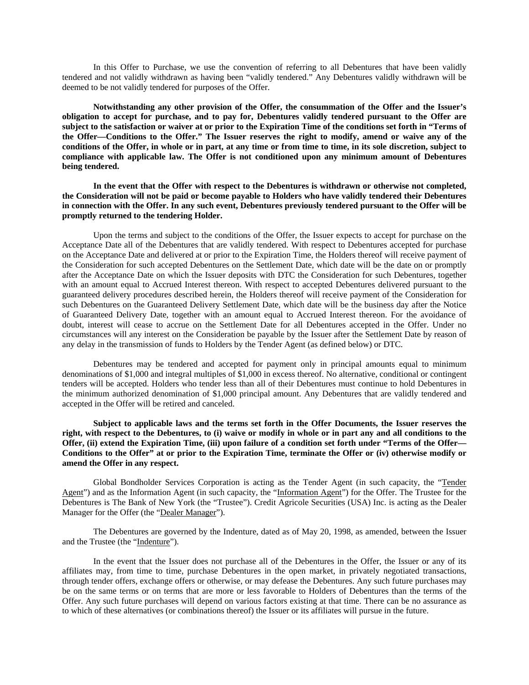In this Offer to Purchase, we use the convention of referring to all Debentures that have been validly tendered and not validly withdrawn as having been "validly tendered." Any Debentures validly withdrawn will be deemed to be not validly tendered for purposes of the Offer.

**Notwithstanding any other provision of the Offer, the consummation of the Offer and the Issuer's obligation to accept for purchase, and to pay for, Debentures validly tendered pursuant to the Offer are subject to the satisfaction or waiver at or prior to the Expiration Time of the conditions set forth in "Terms of the Offer—Conditions to the Offer." The Issuer reserves the right to modify, amend or waive any of the conditions of the Offer, in whole or in part, at any time or from time to time, in its sole discretion, subject to compliance with applicable law. The Offer is not conditioned upon any minimum amount of Debentures being tendered.** 

**In the event that the Offer with respect to the Debentures is withdrawn or otherwise not completed, the Consideration will not be paid or become payable to Holders who have validly tendered their Debentures in connection with the Offer. In any such event, Debentures previously tendered pursuant to the Offer will be promptly returned to the tendering Holder.** 

Upon the terms and subject to the conditions of the Offer, the Issuer expects to accept for purchase on the Acceptance Date all of the Debentures that are validly tendered. With respect to Debentures accepted for purchase on the Acceptance Date and delivered at or prior to the Expiration Time, the Holders thereof will receive payment of the Consideration for such accepted Debentures on the Settlement Date, which date will be the date on or promptly after the Acceptance Date on which the Issuer deposits with DTC the Consideration for such Debentures, together with an amount equal to Accrued Interest thereon. With respect to accepted Debentures delivered pursuant to the guaranteed delivery procedures described herein, the Holders thereof will receive payment of the Consideration for such Debentures on the Guaranteed Delivery Settlement Date, which date will be the business day after the Notice of Guaranteed Delivery Date, together with an amount equal to Accrued Interest thereon. For the avoidance of doubt, interest will cease to accrue on the Settlement Date for all Debentures accepted in the Offer. Under no circumstances will any interest on the Consideration be payable by the Issuer after the Settlement Date by reason of any delay in the transmission of funds to Holders by the Tender Agent (as defined below) or DTC.

Debentures may be tendered and accepted for payment only in principal amounts equal to minimum denominations of \$1,000 and integral multiples of \$1,000 in excess thereof. No alternative, conditional or contingent tenders will be accepted. Holders who tender less than all of their Debentures must continue to hold Debentures in the minimum authorized denomination of \$1,000 principal amount. Any Debentures that are validly tendered and accepted in the Offer will be retired and canceled.

**Subject to applicable laws and the terms set forth in the Offer Documents, the Issuer reserves the right, with respect to the Debentures, to (i) waive or modify in whole or in part any and all conditions to the Offer, (ii) extend the Expiration Time, (iii) upon failure of a condition set forth under "Terms of the Offer— Conditions to the Offer" at or prior to the Expiration Time, terminate the Offer or (iv) otherwise modify or amend the Offer in any respect.** 

Global Bondholder Services Corporation is acting as the Tender Agent (in such capacity, the "Tender Agent") and as the Information Agent (in such capacity, the "Information Agent") for the Offer. The Trustee for the Debentures is The Bank of New York (the "Trustee"). Credit Agricole Securities (USA) Inc. is acting as the Dealer Manager for the Offer (the "Dealer Manager").

The Debentures are governed by the Indenture, dated as of May 20, 1998, as amended, between the Issuer and the Trustee (the "Indenture").

In the event that the Issuer does not purchase all of the Debentures in the Offer, the Issuer or any of its affiliates may, from time to time, purchase Debentures in the open market, in privately negotiated transactions, through tender offers, exchange offers or otherwise, or may defease the Debentures. Any such future purchases may be on the same terms or on terms that are more or less favorable to Holders of Debentures than the terms of the Offer. Any such future purchases will depend on various factors existing at that time. There can be no assurance as to which of these alternatives (or combinations thereof) the Issuer or its affiliates will pursue in the future.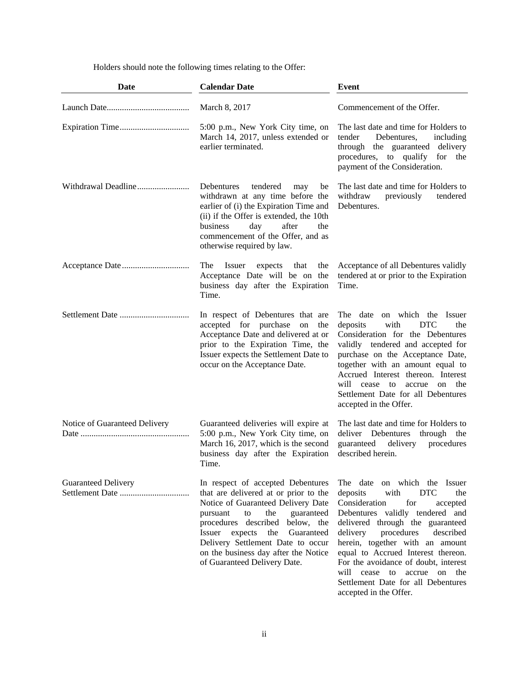Holders should note the following times relating to the Offer:

| <b>Date</b>                                   | <b>Calendar Date</b>                                                                                                                                                                                                                                                                                                                              | Event                                                                                                                                                                                                                                                                                                                                                                                                                                                  |
|-----------------------------------------------|---------------------------------------------------------------------------------------------------------------------------------------------------------------------------------------------------------------------------------------------------------------------------------------------------------------------------------------------------|--------------------------------------------------------------------------------------------------------------------------------------------------------------------------------------------------------------------------------------------------------------------------------------------------------------------------------------------------------------------------------------------------------------------------------------------------------|
|                                               | March 8, 2017                                                                                                                                                                                                                                                                                                                                     | Commencement of the Offer.                                                                                                                                                                                                                                                                                                                                                                                                                             |
|                                               | 5:00 p.m., New York City time, on<br>March 14, 2017, unless extended or<br>earlier terminated.                                                                                                                                                                                                                                                    | The last date and time for Holders to<br>tender<br>Debentures,<br>including<br>through the guaranteed delivery<br>procedures, to qualify for<br>the<br>payment of the Consideration.                                                                                                                                                                                                                                                                   |
| Withdrawal Deadline                           | Debentures<br>tendered<br>may<br>be<br>withdrawn at any time before the<br>earlier of (i) the Expiration Time and<br>(ii) if the Offer is extended, the 10th<br>after<br>business<br>day<br>the<br>commencement of the Offer, and as<br>otherwise required by law.                                                                                | The last date and time for Holders to<br>withdraw<br>previously<br>tendered<br>Debentures.                                                                                                                                                                                                                                                                                                                                                             |
|                                               | The<br>Issuer<br>expects<br>that<br>the<br>Acceptance Date will be on the<br>business day after the Expiration<br>Time.                                                                                                                                                                                                                           | Acceptance of all Debentures validly<br>tendered at or prior to the Expiration<br>Time.                                                                                                                                                                                                                                                                                                                                                                |
|                                               | In respect of Debentures that are<br>accepted for purchase<br>on<br>the<br>Acceptance Date and delivered at or<br>prior to the Expiration Time, the<br>Issuer expects the Settlement Date to<br>occur on the Acceptance Date.                                                                                                                     | The date on which the Issuer<br>deposits<br>with<br><b>DTC</b><br>the<br>Consideration for the Debentures<br>validly tendered and accepted for<br>purchase on the Acceptance Date,<br>together with an amount equal to<br>Accrued Interest thereon. Interest<br>will cease to<br>the<br>accrue<br>on<br>Settlement Date for all Debentures<br>accepted in the Offer.                                                                                   |
| Notice of Guaranteed Delivery                 | Guaranteed deliveries will expire at<br>5:00 p.m., New York City time, on<br>March 16, 2017, which is the second<br>business day after the Expiration<br>Time.                                                                                                                                                                                    | The last date and time for Holders to<br>deliver Debentures<br>through<br>the<br>guaranteed<br>delivery<br>procedures<br>described herein.                                                                                                                                                                                                                                                                                                             |
| <b>Guaranteed Delivery</b><br>Settlement Date | In respect of accepted Debentures<br>that are delivered at or prior to the<br>Notice of Guaranteed Delivery Date<br>guaranteed<br>the<br>pursuant<br>to<br>procedures described below, the<br>Issuer<br>expects<br>the<br>Guaranteed<br>Delivery Settlement Date to occur<br>on the business day after the Notice<br>of Guaranteed Delivery Date. | The date on which the Issuer<br>with<br><b>DTC</b><br>deposits<br>the<br>Consideration<br>for<br>accepted<br>Debentures validly tendered and<br>delivered through the guaranteed<br>delivery<br>procedures<br>described<br>herein, together with an amount<br>equal to Accrued Interest thereon.<br>For the avoidance of doubt, interest<br>will<br>cease<br>to<br>accrue<br>on<br>the<br>Settlement Date for all Debentures<br>accepted in the Offer. |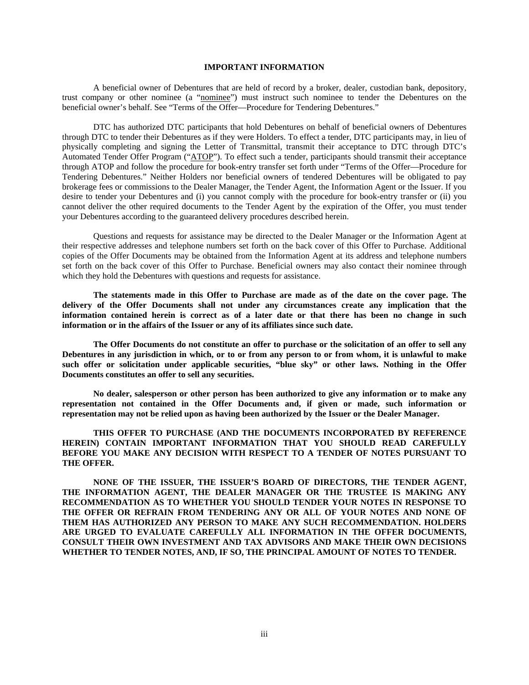## **IMPORTANT INFORMATION**

A beneficial owner of Debentures that are held of record by a broker, dealer, custodian bank, depository, trust company or other nominee (a "nominee") must instruct such nominee to tender the Debentures on the beneficial owner's behalf. See "Terms of the Offer—Procedure for Tendering Debentures."

DTC has authorized DTC participants that hold Debentures on behalf of beneficial owners of Debentures through DTC to tender their Debentures as if they were Holders. To effect a tender, DTC participants may, in lieu of physically completing and signing the Letter of Transmittal, transmit their acceptance to DTC through DTC's Automated Tender Offer Program ("ATOP"). To effect such a tender, participants should transmit their acceptance through ATOP and follow the procedure for book-entry transfer set forth under "Terms of the Offer—Procedure for Tendering Debentures." Neither Holders nor beneficial owners of tendered Debentures will be obligated to pay brokerage fees or commissions to the Dealer Manager, the Tender Agent, the Information Agent or the Issuer. If you desire to tender your Debentures and (i) you cannot comply with the procedure for book-entry transfer or (ii) you cannot deliver the other required documents to the Tender Agent by the expiration of the Offer, you must tender your Debentures according to the guaranteed delivery procedures described herein.

Questions and requests for assistance may be directed to the Dealer Manager or the Information Agent at their respective addresses and telephone numbers set forth on the back cover of this Offer to Purchase. Additional copies of the Offer Documents may be obtained from the Information Agent at its address and telephone numbers set forth on the back cover of this Offer to Purchase. Beneficial owners may also contact their nominee through which they hold the Debentures with questions and requests for assistance.

**The statements made in this Offer to Purchase are made as of the date on the cover page. The delivery of the Offer Documents shall not under any circumstances create any implication that the information contained herein is correct as of a later date or that there has been no change in such information or in the affairs of the Issuer or any of its affiliates since such date.** 

**The Offer Documents do not constitute an offer to purchase or the solicitation of an offer to sell any Debentures in any jurisdiction in which, or to or from any person to or from whom, it is unlawful to make such offer or solicitation under applicable securities, "blue sky" or other laws. Nothing in the Offer Documents constitutes an offer to sell any securities.** 

**No dealer, salesperson or other person has been authorized to give any information or to make any representation not contained in the Offer Documents and, if given or made, such information or representation may not be relied upon as having been authorized by the Issuer or the Dealer Manager.** 

**THIS OFFER TO PURCHASE (AND THE DOCUMENTS INCORPORATED BY REFERENCE HEREIN) CONTAIN IMPORTANT INFORMATION THAT YOU SHOULD READ CAREFULLY BEFORE YOU MAKE ANY DECISION WITH RESPECT TO A TENDER OF NOTES PURSUANT TO THE OFFER.** 

**NONE OF THE ISSUER, THE ISSUER'S BOARD OF DIRECTORS, THE TENDER AGENT, THE INFORMATION AGENT, THE DEALER MANAGER OR THE TRUSTEE IS MAKING ANY RECOMMENDATION AS TO WHETHER YOU SHOULD TENDER YOUR NOTES IN RESPONSE TO THE OFFER OR REFRAIN FROM TENDERING ANY OR ALL OF YOUR NOTES AND NONE OF THEM HAS AUTHORIZED ANY PERSON TO MAKE ANY SUCH RECOMMENDATION. HOLDERS ARE URGED TO EVALUATE CAREFULLY ALL INFORMATION IN THE OFFER DOCUMENTS, CONSULT THEIR OWN INVESTMENT AND TAX ADVISORS AND MAKE THEIR OWN DECISIONS WHETHER TO TENDER NOTES, AND, IF SO, THE PRINCIPAL AMOUNT OF NOTES TO TENDER.**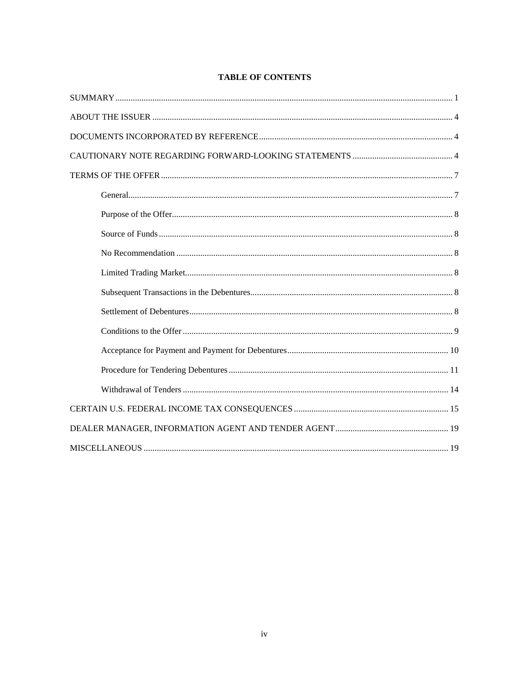## **TABLE OF CONTENTS**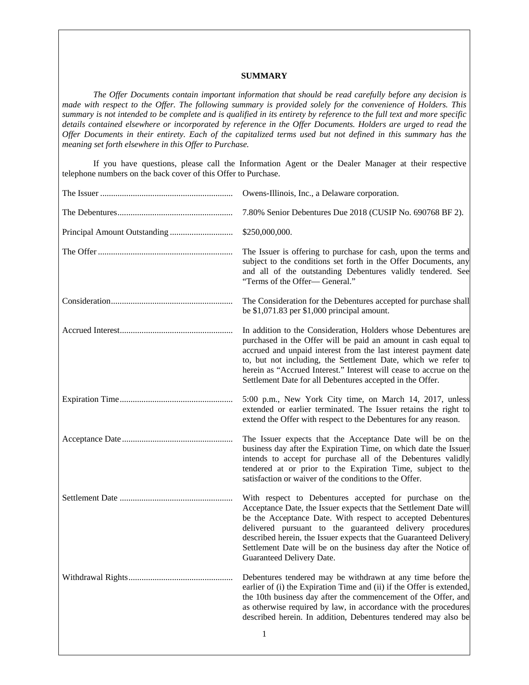## **SUMMARY**

*The Offer Documents contain important information that should be read carefully before any decision is made with respect to the Offer. The following summary is provided solely for the convenience of Holders. This summary is not intended to be complete and is qualified in its entirety by reference to the full text and more specific details contained elsewhere or incorporated by reference in the Offer Documents. Holders are urged to read the Offer Documents in their entirety. Each of the capitalized terms used but not defined in this summary has the meaning set forth elsewhere in this Offer to Purchase.*

If you have questions, please call the Information Agent or the Dealer Manager at their respective telephone numbers on the back cover of this Offer to Purchase.

| Owens-Illinois, Inc., a Delaware corporation.                                                                                                                                                                                                                                                                                                                                                                                |
|------------------------------------------------------------------------------------------------------------------------------------------------------------------------------------------------------------------------------------------------------------------------------------------------------------------------------------------------------------------------------------------------------------------------------|
| 7.80% Senior Debentures Due 2018 (CUSIP No. 690768 BF 2).                                                                                                                                                                                                                                                                                                                                                                    |
| \$250,000,000.                                                                                                                                                                                                                                                                                                                                                                                                               |
| The Issuer is offering to purchase for cash, upon the terms and<br>subject to the conditions set forth in the Offer Documents, any<br>and all of the outstanding Debentures validly tendered. See<br>"Terms of the Offer-General."                                                                                                                                                                                           |
| The Consideration for the Debentures accepted for purchase shall<br>be \$1,071.83 per \$1,000 principal amount.                                                                                                                                                                                                                                                                                                              |
| In addition to the Consideration, Holders whose Debentures are<br>purchased in the Offer will be paid an amount in cash equal to<br>accrued and unpaid interest from the last interest payment date<br>to, but not including, the Settlement Date, which we refer to<br>herein as "Accrued Interest." Interest will cease to accrue on the<br>Settlement Date for all Debentures accepted in the Offer.                      |
| 5:00 p.m., New York City time, on March 14, 2017, unless<br>extended or earlier terminated. The Issuer retains the right to<br>extend the Offer with respect to the Debentures for any reason.                                                                                                                                                                                                                               |
| The Issuer expects that the Acceptance Date will be on the<br>business day after the Expiration Time, on which date the Issuer<br>intends to accept for purchase all of the Debentures validly<br>tendered at or prior to the Expiration Time, subject to the<br>satisfaction or waiver of the conditions to the Offer.                                                                                                      |
| With respect to Debentures accepted for purchase on the<br>Acceptance Date, the Issuer expects that the Settlement Date will<br>be the Acceptance Date. With respect to accepted Debentures<br>delivered pursuant to the guaranteed delivery procedures<br>described herein, the Issuer expects that the Guaranteed Delivery<br>Settlement Date will be on the business day after the Notice of<br>Guaranteed Delivery Date. |
| Debentures tendered may be withdrawn at any time before the<br>earlier of (i) the Expiration Time and (ii) if the Offer is extended,<br>the 10th business day after the commencement of the Offer, and<br>as otherwise required by law, in accordance with the procedures<br>described herein. In addition, Debentures tendered may also be                                                                                  |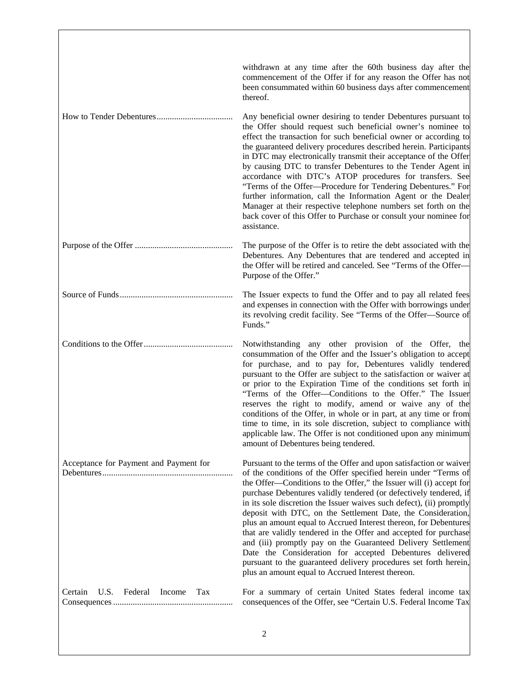|                                             | withdrawn at any time after the 60th business day after the<br>commencement of the Offer if for any reason the Offer has not<br>been consummated within 60 business days after commencement<br>thereof.                                                                                                                                                                                                                                                                                                                                                                                                                                                                                                                                                                                                               |
|---------------------------------------------|-----------------------------------------------------------------------------------------------------------------------------------------------------------------------------------------------------------------------------------------------------------------------------------------------------------------------------------------------------------------------------------------------------------------------------------------------------------------------------------------------------------------------------------------------------------------------------------------------------------------------------------------------------------------------------------------------------------------------------------------------------------------------------------------------------------------------|
| How to Tender Debentures                    | Any beneficial owner desiring to tender Debentures pursuant to<br>the Offer should request such beneficial owner's nominee to<br>effect the transaction for such beneficial owner or according to<br>the guaranteed delivery procedures described herein. Participants<br>in DTC may electronically transmit their acceptance of the Offer<br>by causing DTC to transfer Debentures to the Tender Agent in<br>accordance with DTC's ATOP procedures for transfers. See<br>"Terms of the Offer-Procedure for Tendering Debentures." For<br>further information, call the Information Agent or the Dealer<br>Manager at their respective telephone numbers set forth on the<br>back cover of this Offer to Purchase or consult your nominee for<br>assistance.                                                          |
|                                             | The purpose of the Offer is to retire the debt associated with the<br>Debentures. Any Debentures that are tendered and accepted in<br>the Offer will be retired and canceled. See "Terms of the Offer-<br>Purpose of the Offer."                                                                                                                                                                                                                                                                                                                                                                                                                                                                                                                                                                                      |
|                                             | The Issuer expects to fund the Offer and to pay all related fees<br>and expenses in connection with the Offer with borrowings under<br>its revolving credit facility. See "Terms of the Offer-Source of<br>Funds."                                                                                                                                                                                                                                                                                                                                                                                                                                                                                                                                                                                                    |
|                                             | Notwithstanding any other provision of the Offer, the<br>consummation of the Offer and the Issuer's obligation to accept<br>for purchase, and to pay for, Debentures validly tendered<br>pursuant to the Offer are subject to the satisfaction or waiver at<br>or prior to the Expiration Time of the conditions set forth in<br>"Terms of the Offer-Conditions to the Offer." The Issuer<br>reserves the right to modify, amend or waive any of the<br>conditions of the Offer, in whole or in part, at any time or from<br>time to time, in its sole discretion, subject to compliance with<br>applicable law. The Offer is not conditioned upon any minimum<br>amount of Debentures being tendered.                                                                                                                |
| Acceptance for Payment and Payment for      | Pursuant to the terms of the Offer and upon satisfaction or waiver<br>of the conditions of the Offer specified herein under "Terms of<br>the Offer—Conditions to the Offer," the Issuer will (i) accept for<br>purchase Debentures validly tendered (or defectively tendered, if<br>in its sole discretion the Issuer waives such defect), (ii) promptly<br>deposit with DTC, on the Settlement Date, the Consideration,<br>plus an amount equal to Accrued Interest thereon, for Debentures<br>that are validly tendered in the Offer and accepted for purchase<br>and (iii) promptly pay on the Guaranteed Delivery Settlement<br>Date the Consideration for accepted Debentures delivered<br>pursuant to the guaranteed delivery procedures set forth herein,<br>plus an amount equal to Accrued Interest thereon. |
| U.S.<br>Federal<br>Income<br>Tax<br>Certain | For a summary of certain United States federal income tax<br>consequences of the Offer, see "Certain U.S. Federal Income Tax                                                                                                                                                                                                                                                                                                                                                                                                                                                                                                                                                                                                                                                                                          |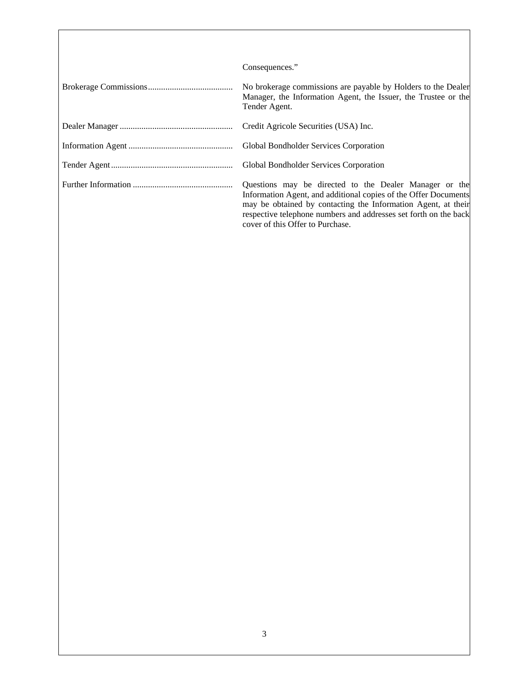| Consequences."                                                                                                                                                                                                                                                                                     |
|----------------------------------------------------------------------------------------------------------------------------------------------------------------------------------------------------------------------------------------------------------------------------------------------------|
| No brokerage commissions are payable by Holders to the Dealer<br>Manager, the Information Agent, the Issuer, the Trustee or the<br>Tender Agent.                                                                                                                                                   |
| Credit Agricole Securities (USA) Inc.                                                                                                                                                                                                                                                              |
|                                                                                                                                                                                                                                                                                                    |
| Global Bondholder Services Corporation                                                                                                                                                                                                                                                             |
| Questions may be directed to the Dealer Manager or the<br>Information Agent, and additional copies of the Offer Documents<br>may be obtained by contacting the Information Agent, at their<br>respective telephone numbers and addresses set forth on the back<br>cover of this Offer to Purchase. |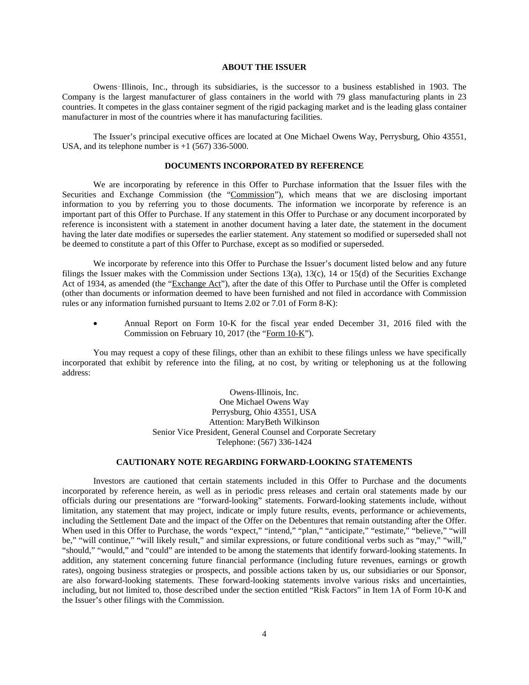## **ABOUT THE ISSUER**

Owens‑Illinois, Inc., through its subsidiaries, is the successor to a business established in 1903. The Company is the largest manufacturer of glass containers in the world with 79 glass manufacturing plants in 23 countries. It competes in the glass container segment of the rigid packaging market and is the leading glass container manufacturer in most of the countries where it has manufacturing facilities.

The Issuer's principal executive offices are located at One Michael Owens Way, Perrysburg, Ohio 43551, USA, and its telephone number is  $+1$  (567) 336-5000.

### **DOCUMENTS INCORPORATED BY REFERENCE**

We are incorporating by reference in this Offer to Purchase information that the Issuer files with the Securities and Exchange Commission (the "Commission"), which means that we are disclosing important information to you by referring you to those documents. The information we incorporate by reference is an important part of this Offer to Purchase. If any statement in this Offer to Purchase or any document incorporated by reference is inconsistent with a statement in another document having a later date, the statement in the document having the later date modifies or supersedes the earlier statement. Any statement so modified or superseded shall not be deemed to constitute a part of this Offer to Purchase, except as so modified or superseded.

We incorporate by reference into this Offer to Purchase the Issuer's document listed below and any future filings the Issuer makes with the Commission under Sections 13(a), 13(c), 14 or 15(d) of the Securities Exchange Act of 1934, as amended (the "Exchange Act"), after the date of this Offer to Purchase until the Offer is completed (other than documents or information deemed to have been furnished and not filed in accordance with Commission rules or any information furnished pursuant to Items 2.02 or 7.01 of Form 8-K):

• Annual Report on Form 10-K for the fiscal year ended December 31, 2016 filed with the Commission on February 10, 2017 (the "Form 10-K").

You may request a copy of these filings, other than an exhibit to these filings unless we have specifically incorporated that exhibit by reference into the filing, at no cost, by writing or telephoning us at the following address:

> Owens-Illinois, Inc. One Michael Owens Way Perrysburg, Ohio 43551, USA Attention: MaryBeth Wilkinson Senior Vice President, General Counsel and Corporate Secretary Telephone: (567) 336-1424

## **CAUTIONARY NOTE REGARDING FORWARD-LOOKING STATEMENTS**

Investors are cautioned that certain statements included in this Offer to Purchase and the documents incorporated by reference herein, as well as in periodic press releases and certain oral statements made by our officials during our presentations are "forward-looking" statements. Forward-looking statements include, without limitation, any statement that may project, indicate or imply future results, events, performance or achievements, including the Settlement Date and the impact of the Offer on the Debentures that remain outstanding after the Offer. When used in this Offer to Purchase, the words "expect," "intend," "plan," "anticipate," "estimate," "believe," "will be," "will continue," "will likely result," and similar expressions, or future conditional verbs such as "may," "will," "should," "would," and "could" are intended to be among the statements that identify forward-looking statements. In addition, any statement concerning future financial performance (including future revenues, earnings or growth rates), ongoing business strategies or prospects, and possible actions taken by us, our subsidiaries or our Sponsor, are also forward-looking statements. These forward-looking statements involve various risks and uncertainties, including, but not limited to, those described under the section entitled "Risk Factors" in Item 1A of Form 10-K and the Issuer's other filings with the Commission.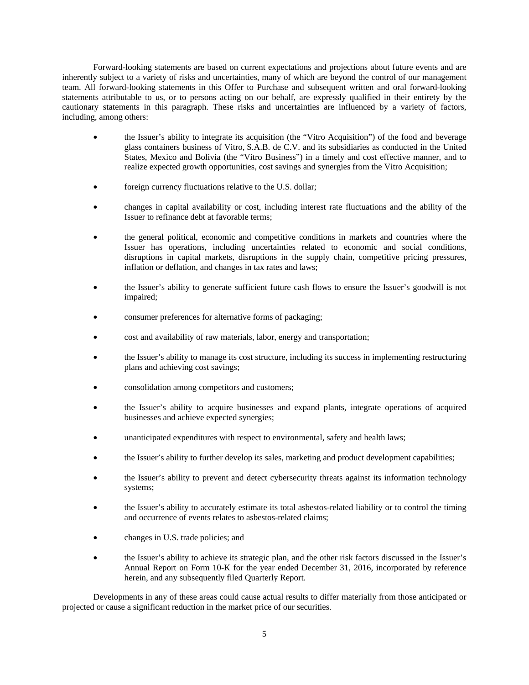Forward-looking statements are based on current expectations and projections about future events and are inherently subject to a variety of risks and uncertainties, many of which are beyond the control of our management team. All forward-looking statements in this Offer to Purchase and subsequent written and oral forward-looking statements attributable to us, or to persons acting on our behalf, are expressly qualified in their entirety by the cautionary statements in this paragraph. These risks and uncertainties are influenced by a variety of factors, including, among others:

- the Issuer's ability to integrate its acquisition (the "Vitro Acquisition") of the food and beverage glass containers business of Vitro, S.A.B. de C.V. and its subsidiaries as conducted in the United States, Mexico and Bolivia (the "Vitro Business") in a timely and cost effective manner, and to realize expected growth opportunities, cost savings and synergies from the Vitro Acquisition;
- foreign currency fluctuations relative to the U.S. dollar;
- changes in capital availability or cost, including interest rate fluctuations and the ability of the Issuer to refinance debt at favorable terms;
- the general political, economic and competitive conditions in markets and countries where the Issuer has operations, including uncertainties related to economic and social conditions, disruptions in capital markets, disruptions in the supply chain, competitive pricing pressures, inflation or deflation, and changes in tax rates and laws;
- the Issuer's ability to generate sufficient future cash flows to ensure the Issuer's goodwill is not impaired;
- consumer preferences for alternative forms of packaging;
- cost and availability of raw materials, labor, energy and transportation;
- the Issuer's ability to manage its cost structure, including its success in implementing restructuring plans and achieving cost savings;
- consolidation among competitors and customers;
- the Issuer's ability to acquire businesses and expand plants, integrate operations of acquired businesses and achieve expected synergies;
- unanticipated expenditures with respect to environmental, safety and health laws;
- the Issuer's ability to further develop its sales, marketing and product development capabilities;
- the Issuer's ability to prevent and detect cybersecurity threats against its information technology systems;
- the Issuer's ability to accurately estimate its total asbestos-related liability or to control the timing and occurrence of events relates to asbestos-related claims;
- changes in U.S. trade policies; and
- the Issuer's ability to achieve its strategic plan, and the other risk factors discussed in the Issuer's Annual Report on Form 10-K for the year ended December 31, 2016, incorporated by reference herein, and any subsequently filed Quarterly Report.

Developments in any of these areas could cause actual results to differ materially from those anticipated or projected or cause a significant reduction in the market price of our securities.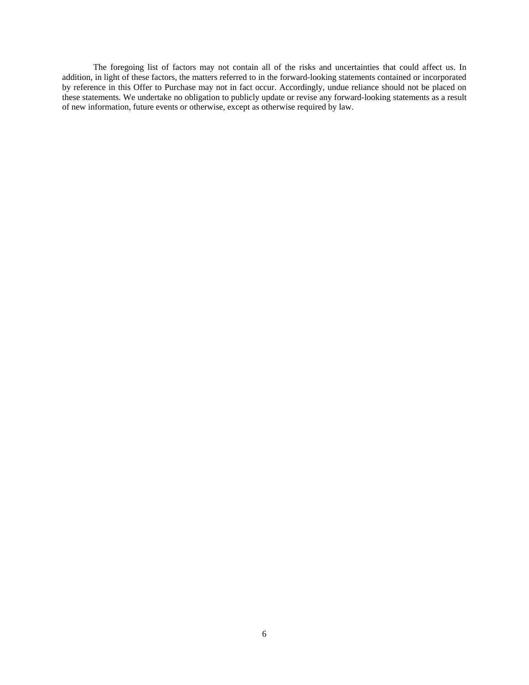The foregoing list of factors may not contain all of the risks and uncertainties that could affect us. In addition, in light of these factors, the matters referred to in the forward-looking statements contained or incorporated by reference in this Offer to Purchase may not in fact occur. Accordingly, undue reliance should not be placed on these statements. We undertake no obligation to publicly update or revise any forward-looking statements as a result of new information, future events or otherwise, except as otherwise required by law.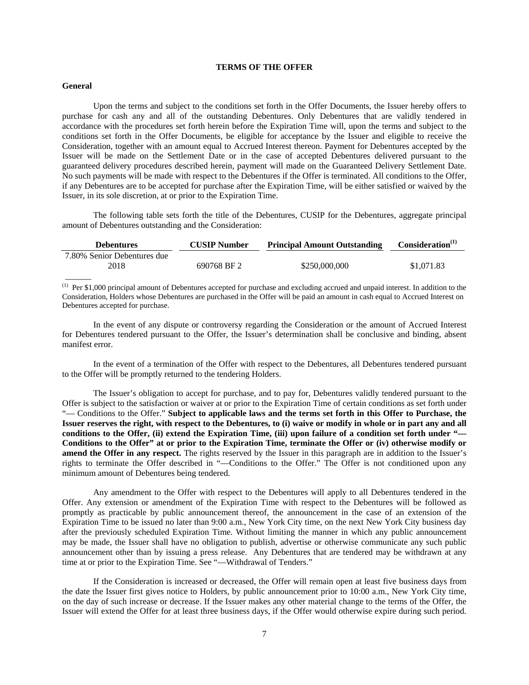## **TERMS OF THE OFFER**

#### **General**

Upon the terms and subject to the conditions set forth in the Offer Documents, the Issuer hereby offers to purchase for cash any and all of the outstanding Debentures. Only Debentures that are validly tendered in accordance with the procedures set forth herein before the Expiration Time will, upon the terms and subject to the conditions set forth in the Offer Documents, be eligible for acceptance by the Issuer and eligible to receive the Consideration, together with an amount equal to Accrued Interest thereon. Payment for Debentures accepted by the Issuer will be made on the Settlement Date or in the case of accepted Debentures delivered pursuant to the guaranteed delivery procedures described herein, payment will made on the Guaranteed Delivery Settlement Date. No such payments will be made with respect to the Debentures if the Offer is terminated. All conditions to the Offer, if any Debentures are to be accepted for purchase after the Expiration Time, will be either satisfied or waived by the Issuer, in its sole discretion, at or prior to the Expiration Time.

The following table sets forth the title of the Debentures, CUSIP for the Debentures, aggregate principal amount of Debentures outstanding and the Consideration:

| <b>Debentures</b>           | <b>CUSIP Number</b> | <b>Principal Amount Outstanding</b> | Consideration <sup>(1)</sup> |
|-----------------------------|---------------------|-------------------------------------|------------------------------|
| 7.80% Senior Debentures due |                     |                                     |                              |
| 2018                        | 690768 BF 2         | \$250,000,000                       | \$1,071.83                   |
|                             |                     |                                     |                              |

(1) Per \$1,000 principal amount of Debentures accepted for purchase and excluding accrued and unpaid interest. In addition to the Consideration, Holders whose Debentures are purchased in the Offer will be paid an amount in cash equal to Accrued Interest on Debentures accepted for purchase.

In the event of any dispute or controversy regarding the Consideration or the amount of Accrued Interest for Debentures tendered pursuant to the Offer, the Issuer's determination shall be conclusive and binding, absent manifest error.

In the event of a termination of the Offer with respect to the Debentures, all Debentures tendered pursuant to the Offer will be promptly returned to the tendering Holders.

The Issuer's obligation to accept for purchase, and to pay for, Debentures validly tendered pursuant to the Offer is subject to the satisfaction or waiver at or prior to the Expiration Time of certain conditions as set forth under "— Conditions to the Offer." **Subject to applicable laws and the terms set forth in this Offer to Purchase, the Issuer reserves the right, with respect to the Debentures, to (i) waive or modify in whole or in part any and all conditions to the Offer, (ii) extend the Expiration Time, (iii) upon failure of a condition set forth under "— Conditions to the Offer" at or prior to the Expiration Time, terminate the Offer or (iv) otherwise modify or amend the Offer in any respect.** The rights reserved by the Issuer in this paragraph are in addition to the Issuer's rights to terminate the Offer described in "—Conditions to the Offer." The Offer is not conditioned upon any minimum amount of Debentures being tendered.

Any amendment to the Offer with respect to the Debentures will apply to all Debentures tendered in the Offer. Any extension or amendment of the Expiration Time with respect to the Debentures will be followed as promptly as practicable by public announcement thereof, the announcement in the case of an extension of the Expiration Time to be issued no later than 9:00 a.m., New York City time, on the next New York City business day after the previously scheduled Expiration Time. Without limiting the manner in which any public announcement may be made, the Issuer shall have no obligation to publish, advertise or otherwise communicate any such public announcement other than by issuing a press release. Any Debentures that are tendered may be withdrawn at any time at or prior to the Expiration Time. See "—Withdrawal of Tenders."

If the Consideration is increased or decreased, the Offer will remain open at least five business days from the date the Issuer first gives notice to Holders, by public announcement prior to 10:00 a.m., New York City time, on the day of such increase or decrease. If the Issuer makes any other material change to the terms of the Offer, the Issuer will extend the Offer for at least three business days, if the Offer would otherwise expire during such period.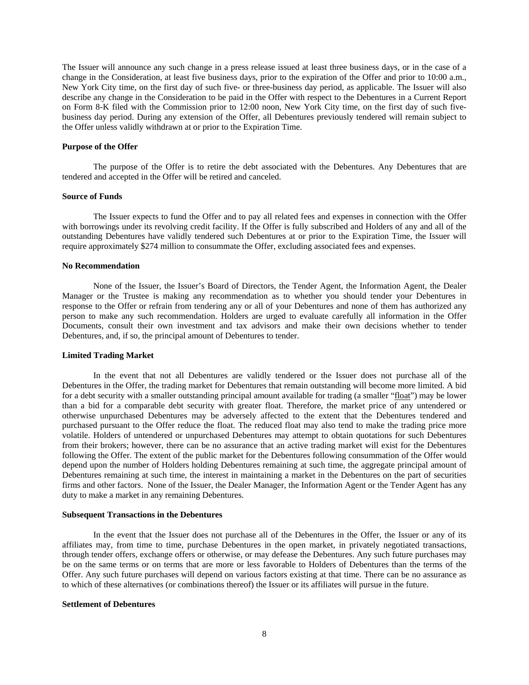The Issuer will announce any such change in a press release issued at least three business days, or in the case of a change in the Consideration, at least five business days, prior to the expiration of the Offer and prior to 10:00 a.m., New York City time, on the first day of such five- or three-business day period, as applicable. The Issuer will also describe any change in the Consideration to be paid in the Offer with respect to the Debentures in a Current Report on Form 8-K filed with the Commission prior to 12:00 noon, New York City time, on the first day of such fivebusiness day period. During any extension of the Offer, all Debentures previously tendered will remain subject to the Offer unless validly withdrawn at or prior to the Expiration Time.

#### **Purpose of the Offer**

The purpose of the Offer is to retire the debt associated with the Debentures. Any Debentures that are tendered and accepted in the Offer will be retired and canceled.

#### **Source of Funds**

The Issuer expects to fund the Offer and to pay all related fees and expenses in connection with the Offer with borrowings under its revolving credit facility. If the Offer is fully subscribed and Holders of any and all of the outstanding Debentures have validly tendered such Debentures at or prior to the Expiration Time, the Issuer will require approximately \$274 million to consummate the Offer, excluding associated fees and expenses.

#### **No Recommendation**

None of the Issuer, the Issuer's Board of Directors, the Tender Agent, the Information Agent, the Dealer Manager or the Trustee is making any recommendation as to whether you should tender your Debentures in response to the Offer or refrain from tendering any or all of your Debentures and none of them has authorized any person to make any such recommendation. Holders are urged to evaluate carefully all information in the Offer Documents, consult their own investment and tax advisors and make their own decisions whether to tender Debentures, and, if so, the principal amount of Debentures to tender.

#### **Limited Trading Market**

In the event that not all Debentures are validly tendered or the Issuer does not purchase all of the Debentures in the Offer, the trading market for Debentures that remain outstanding will become more limited. A bid for a debt security with a smaller outstanding principal amount available for trading (a smaller "float") may be lower than a bid for a comparable debt security with greater float. Therefore, the market price of any untendered or otherwise unpurchased Debentures may be adversely affected to the extent that the Debentures tendered and purchased pursuant to the Offer reduce the float. The reduced float may also tend to make the trading price more volatile. Holders of untendered or unpurchased Debentures may attempt to obtain quotations for such Debentures from their brokers; however, there can be no assurance that an active trading market will exist for the Debentures following the Offer. The extent of the public market for the Debentures following consummation of the Offer would depend upon the number of Holders holding Debentures remaining at such time, the aggregate principal amount of Debentures remaining at such time, the interest in maintaining a market in the Debentures on the part of securities firms and other factors. None of the Issuer, the Dealer Manager, the Information Agent or the Tender Agent has any duty to make a market in any remaining Debentures.

### **Subsequent Transactions in the Debentures**

In the event that the Issuer does not purchase all of the Debentures in the Offer, the Issuer or any of its affiliates may, from time to time, purchase Debentures in the open market, in privately negotiated transactions, through tender offers, exchange offers or otherwise, or may defease the Debentures. Any such future purchases may be on the same terms or on terms that are more or less favorable to Holders of Debentures than the terms of the Offer. Any such future purchases will depend on various factors existing at that time. There can be no assurance as to which of these alternatives (or combinations thereof) the Issuer or its affiliates will pursue in the future.

#### **Settlement of Debentures**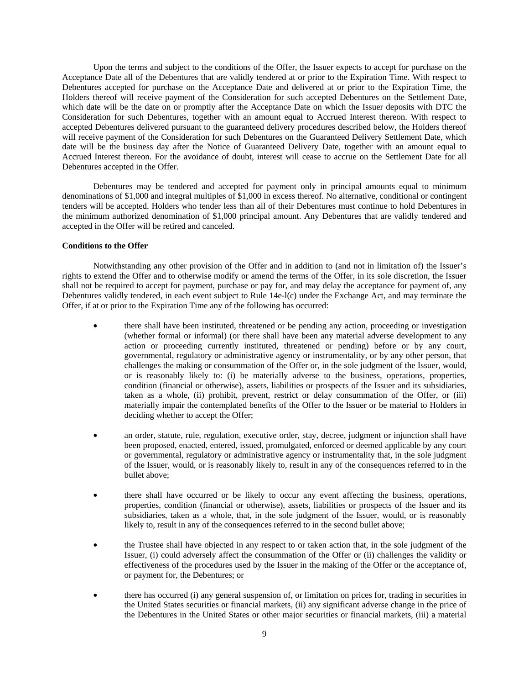Upon the terms and subject to the conditions of the Offer, the Issuer expects to accept for purchase on the Acceptance Date all of the Debentures that are validly tendered at or prior to the Expiration Time. With respect to Debentures accepted for purchase on the Acceptance Date and delivered at or prior to the Expiration Time, the Holders thereof will receive payment of the Consideration for such accepted Debentures on the Settlement Date, which date will be the date on or promptly after the Acceptance Date on which the Issuer deposits with DTC the Consideration for such Debentures, together with an amount equal to Accrued Interest thereon. With respect to accepted Debentures delivered pursuant to the guaranteed delivery procedures described below, the Holders thereof will receive payment of the Consideration for such Debentures on the Guaranteed Delivery Settlement Date, which date will be the business day after the Notice of Guaranteed Delivery Date, together with an amount equal to Accrued Interest thereon. For the avoidance of doubt, interest will cease to accrue on the Settlement Date for all Debentures accepted in the Offer.

Debentures may be tendered and accepted for payment only in principal amounts equal to minimum denominations of \$1,000 and integral multiples of \$1,000 in excess thereof. No alternative, conditional or contingent tenders will be accepted. Holders who tender less than all of their Debentures must continue to hold Debentures in the minimum authorized denomination of \$1,000 principal amount. Any Debentures that are validly tendered and accepted in the Offer will be retired and canceled.

## **Conditions to the Offer**

Notwithstanding any other provision of the Offer and in addition to (and not in limitation of) the Issuer's rights to extend the Offer and to otherwise modify or amend the terms of the Offer, in its sole discretion, the Issuer shall not be required to accept for payment, purchase or pay for, and may delay the acceptance for payment of, any Debentures validly tendered, in each event subject to Rule 14e-l(c) under the Exchange Act, and may terminate the Offer, if at or prior to the Expiration Time any of the following has occurred:

- there shall have been instituted, threatened or be pending any action, proceeding or investigation (whether formal or informal) (or there shall have been any material adverse development to any action or proceeding currently instituted, threatened or pending) before or by any court, governmental, regulatory or administrative agency or instrumentality, or by any other person, that challenges the making or consummation of the Offer or, in the sole judgment of the Issuer, would, or is reasonably likely to: (i) be materially adverse to the business, operations, properties, condition (financial or otherwise), assets, liabilities or prospects of the Issuer and its subsidiaries, taken as a whole, (ii) prohibit, prevent, restrict or delay consummation of the Offer, or (iii) materially impair the contemplated benefits of the Offer to the Issuer or be material to Holders in deciding whether to accept the Offer;
- an order, statute, rule, regulation, executive order, stay, decree, judgment or injunction shall have been proposed, enacted, entered, issued, promulgated, enforced or deemed applicable by any court or governmental, regulatory or administrative agency or instrumentality that, in the sole judgment of the Issuer, would, or is reasonably likely to, result in any of the consequences referred to in the bullet above;
- there shall have occurred or be likely to occur any event affecting the business, operations, properties, condition (financial or otherwise), assets, liabilities or prospects of the Issuer and its subsidiaries, taken as a whole, that, in the sole judgment of the Issuer, would, or is reasonably likely to, result in any of the consequences referred to in the second bullet above;
- the Trustee shall have objected in any respect to or taken action that, in the sole judgment of the Issuer, (i) could adversely affect the consummation of the Offer or (ii) challenges the validity or effectiveness of the procedures used by the Issuer in the making of the Offer or the acceptance of, or payment for, the Debentures; or
- there has occurred (i) any general suspension of, or limitation on prices for, trading in securities in the United States securities or financial markets, (ii) any significant adverse change in the price of the Debentures in the United States or other major securities or financial markets, (iii) a material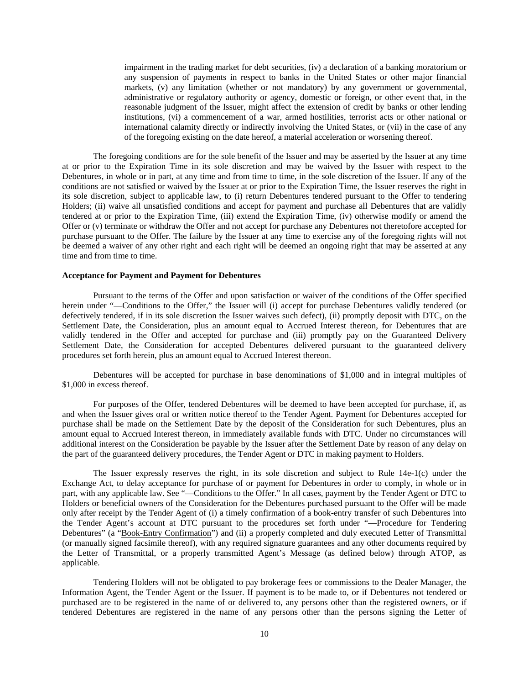impairment in the trading market for debt securities, (iv) a declaration of a banking moratorium or any suspension of payments in respect to banks in the United States or other major financial markets, (v) any limitation (whether or not mandatory) by any government or governmental, administrative or regulatory authority or agency, domestic or foreign, or other event that, in the reasonable judgment of the Issuer, might affect the extension of credit by banks or other lending institutions, (vi) a commencement of a war, armed hostilities, terrorist acts or other national or international calamity directly or indirectly involving the United States, or (vii) in the case of any of the foregoing existing on the date hereof, a material acceleration or worsening thereof.

The foregoing conditions are for the sole benefit of the Issuer and may be asserted by the Issuer at any time at or prior to the Expiration Time in its sole discretion and may be waived by the Issuer with respect to the Debentures, in whole or in part, at any time and from time to time, in the sole discretion of the Issuer. If any of the conditions are not satisfied or waived by the Issuer at or prior to the Expiration Time, the Issuer reserves the right in its sole discretion, subject to applicable law, to (i) return Debentures tendered pursuant to the Offer to tendering Holders; (ii) waive all unsatisfied conditions and accept for payment and purchase all Debentures that are validly tendered at or prior to the Expiration Time, (iii) extend the Expiration Time, (iv) otherwise modify or amend the Offer or (v) terminate or withdraw the Offer and not accept for purchase any Debentures not theretofore accepted for purchase pursuant to the Offer. The failure by the Issuer at any time to exercise any of the foregoing rights will not be deemed a waiver of any other right and each right will be deemed an ongoing right that may be asserted at any time and from time to time.

## **Acceptance for Payment and Payment for Debentures**

Pursuant to the terms of the Offer and upon satisfaction or waiver of the conditions of the Offer specified herein under "-Conditions to the Offer," the Issuer will (i) accept for purchase Debentures validly tendered (or defectively tendered, if in its sole discretion the Issuer waives such defect), (ii) promptly deposit with DTC, on the Settlement Date, the Consideration, plus an amount equal to Accrued Interest thereon, for Debentures that are validly tendered in the Offer and accepted for purchase and (iii) promptly pay on the Guaranteed Delivery Settlement Date, the Consideration for accepted Debentures delivered pursuant to the guaranteed delivery procedures set forth herein, plus an amount equal to Accrued Interest thereon.

Debentures will be accepted for purchase in base denominations of \$1,000 and in integral multiples of \$1,000 in excess thereof.

For purposes of the Offer, tendered Debentures will be deemed to have been accepted for purchase, if, as and when the Issuer gives oral or written notice thereof to the Tender Agent. Payment for Debentures accepted for purchase shall be made on the Settlement Date by the deposit of the Consideration for such Debentures, plus an amount equal to Accrued Interest thereon, in immediately available funds with DTC. Under no circumstances will additional interest on the Consideration be payable by the Issuer after the Settlement Date by reason of any delay on the part of the guaranteed delivery procedures, the Tender Agent or DTC in making payment to Holders.

The Issuer expressly reserves the right, in its sole discretion and subject to Rule 14e-1(c) under the Exchange Act, to delay acceptance for purchase of or payment for Debentures in order to comply, in whole or in part, with any applicable law. See "-Conditions to the Offer." In all cases, payment by the Tender Agent or DTC to Holders or beneficial owners of the Consideration for the Debentures purchased pursuant to the Offer will be made only after receipt by the Tender Agent of (i) a timely confirmation of a book-entry transfer of such Debentures into the Tender Agent's account at DTC pursuant to the procedures set forth under "—Procedure for Tendering Debentures" (a "Book-Entry Confirmation") and (ii) a properly completed and duly executed Letter of Transmittal (or manually signed facsimile thereof), with any required signature guarantees and any other documents required by the Letter of Transmittal, or a properly transmitted Agent's Message (as defined below) through ATOP, as applicable.

Tendering Holders will not be obligated to pay brokerage fees or commissions to the Dealer Manager, the Information Agent, the Tender Agent or the Issuer. If payment is to be made to, or if Debentures not tendered or purchased are to be registered in the name of or delivered to, any persons other than the registered owners, or if tendered Debentures are registered in the name of any persons other than the persons signing the Letter of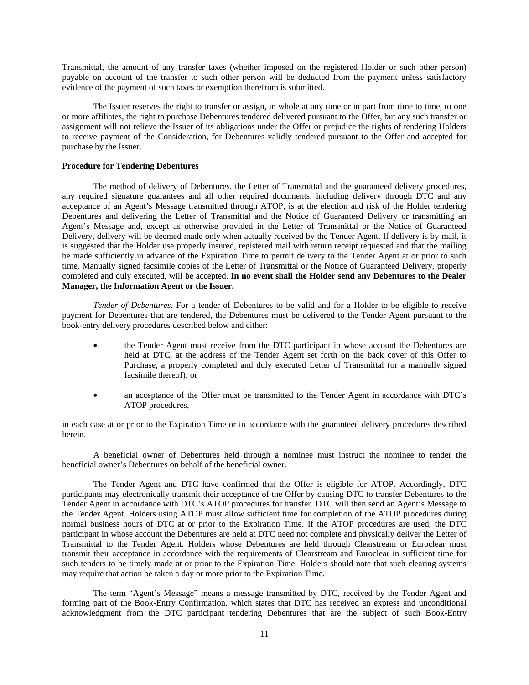Transmittal, the amount of any transfer taxes (whether imposed on the registered Holder or such other person) payable on account of the transfer to such other person will be deducted from the payment unless satisfactory evidence of the payment of such taxes or exemption therefrom is submitted.

The Issuer reserves the right to transfer or assign, in whole at any time or in part from time to time, to one or more affiliates, the right to purchase Debentures tendered delivered pursuant to the Offer, but any such transfer or assignment will not relieve the Issuer of its obligations under the Offer or prejudice the rights of tendering Holders to receive payment of the Consideration, for Debentures validly tendered pursuant to the Offer and accepted for purchase by the Issuer.

## **Procedure for Tendering Debentures**

The method of delivery of Debentures, the Letter of Transmittal and the guaranteed delivery procedures, any required signature guarantees and all other required documents, including delivery through DTC and any acceptance of an Agent's Message transmitted through ATOP, is at the election and risk of the Holder tendering Debentures and delivering the Letter of Transmittal and the Notice of Guaranteed Delivery or transmitting an Agent's Message and, except as otherwise provided in the Letter of Transmittal or the Notice of Guaranteed Delivery, delivery will be deemed made only when actually received by the Tender Agent. If delivery is by mail, it is suggested that the Holder use properly insured, registered mail with return receipt requested and that the mailing be made sufficiently in advance of the Expiration Time to permit delivery to the Tender Agent at or prior to such time. Manually signed facsimile copies of the Letter of Transmittal or the Notice of Guaranteed Delivery, properly completed and duly executed, will be accepted. **In no event shall the Holder send any Debentures to the Dealer Manager, the Information Agent or the Issuer.**

*Tender of Debentures.* For a tender of Debentures to be valid and for a Holder to be eligible to receive payment for Debentures that are tendered, the Debentures must be delivered to the Tender Agent pursuant to the book-entry delivery procedures described below and either:

- the Tender Agent must receive from the DTC participant in whose account the Debentures are held at DTC, at the address of the Tender Agent set forth on the back cover of this Offer to Purchase, a properly completed and duly executed Letter of Transmittal (or a manually signed facsimile thereof); or
- an acceptance of the Offer must be transmitted to the Tender Agent in accordance with DTC's ATOP procedures,

in each case at or prior to the Expiration Time or in accordance with the guaranteed delivery procedures described herein.

A beneficial owner of Debentures held through a nominee must instruct the nominee to tender the beneficial owner's Debentures on behalf of the beneficial owner.

The Tender Agent and DTC have confirmed that the Offer is eligible for ATOP. Accordingly, DTC participants may electronically transmit their acceptance of the Offer by causing DTC to transfer Debentures to the Tender Agent in accordance with DTC's ATOP procedures for transfer. DTC will then send an Agent's Message to the Tender Agent. Holders using ATOP must allow sufficient time for completion of the ATOP procedures during normal business hours of DTC at or prior to the Expiration Time. If the ATOP procedures are used, the DTC participant in whose account the Debentures are held at DTC need not complete and physically deliver the Letter of Transmittal to the Tender Agent. Holders whose Debentures are held through Clearstream or Euroclear must transmit their acceptance in accordance with the requirements of Clearstream and Euroclear in sufficient time for such tenders to be timely made at or prior to the Expiration Time. Holders should note that such clearing systems may require that action be taken a day or more prior to the Expiration Time.

The term "Agent's Message" means a message transmitted by DTC, received by the Tender Agent and forming part of the Book-Entry Confirmation, which states that DTC has received an express and unconditional acknowledgment from the DTC participant tendering Debentures that are the subject of such Book-Entry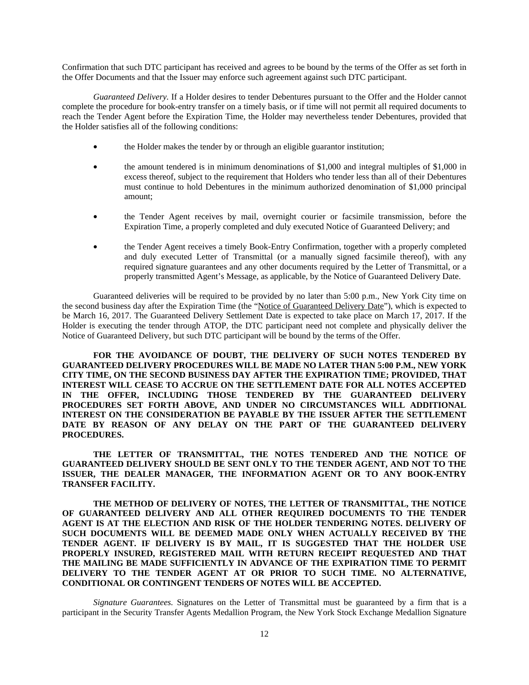Confirmation that such DTC participant has received and agrees to be bound by the terms of the Offer as set forth in the Offer Documents and that the Issuer may enforce such agreement against such DTC participant.

*Guaranteed Delivery.* If a Holder desires to tender Debentures pursuant to the Offer and the Holder cannot complete the procedure for book-entry transfer on a timely basis, or if time will not permit all required documents to reach the Tender Agent before the Expiration Time, the Holder may nevertheless tender Debentures, provided that the Holder satisfies all of the following conditions:

- the Holder makes the tender by or through an eligible guarantor institution;
- the amount tendered is in minimum denominations of \$1,000 and integral multiples of \$1,000 in excess thereof, subject to the requirement that Holders who tender less than all of their Debentures must continue to hold Debentures in the minimum authorized denomination of \$1,000 principal amount;
- the Tender Agent receives by mail, overnight courier or facsimile transmission, before the Expiration Time, a properly completed and duly executed Notice of Guaranteed Delivery; and
- the Tender Agent receives a timely Book-Entry Confirmation, together with a properly completed and duly executed Letter of Transmittal (or a manually signed facsimile thereof), with any required signature guarantees and any other documents required by the Letter of Transmittal, or a properly transmitted Agent's Message, as applicable, by the Notice of Guaranteed Delivery Date.

Guaranteed deliveries will be required to be provided by no later than 5:00 p.m., New York City time on the second business day after the Expiration Time (the "Notice of Guaranteed Delivery Date"), which is expected to be March 16, 2017. The Guaranteed Delivery Settlement Date is expected to take place on March 17, 2017. If the Holder is executing the tender through ATOP, the DTC participant need not complete and physically deliver the Notice of Guaranteed Delivery, but such DTC participant will be bound by the terms of the Offer.

**FOR THE AVOIDANCE OF DOUBT, THE DELIVERY OF SUCH NOTES TENDERED BY GUARANTEED DELIVERY PROCEDURES WILL BE MADE NO LATER THAN 5:00 P.M., NEW YORK CITY TIME, ON THE SECOND BUSINESS DAY AFTER THE EXPIRATION TIME; PROVIDED, THAT INTEREST WILL CEASE TO ACCRUE ON THE SETTLEMENT DATE FOR ALL NOTES ACCEPTED IN THE OFFER, INCLUDING THOSE TENDERED BY THE GUARANTEED DELIVERY PROCEDURES SET FORTH ABOVE, AND UNDER NO CIRCUMSTANCES WILL ADDITIONAL INTEREST ON THE CONSIDERATION BE PAYABLE BY THE ISSUER AFTER THE SETTLEMENT DATE BY REASON OF ANY DELAY ON THE PART OF THE GUARANTEED DELIVERY PROCEDURES.** 

**THE LETTER OF TRANSMITTAL, THE NOTES TENDERED AND THE NOTICE OF GUARANTEED DELIVERY SHOULD BE SENT ONLY TO THE TENDER AGENT, AND NOT TO THE ISSUER, THE DEALER MANAGER, THE INFORMATION AGENT OR TO ANY BOOK-ENTRY TRANSFER FACILITY.** 

**THE METHOD OF DELIVERY OF NOTES, THE LETTER OF TRANSMITTAL, THE NOTICE OF GUARANTEED DELIVERY AND ALL OTHER REQUIRED DOCUMENTS TO THE TENDER AGENT IS AT THE ELECTION AND RISK OF THE HOLDER TENDERING NOTES. DELIVERY OF SUCH DOCUMENTS WILL BE DEEMED MADE ONLY WHEN ACTUALLY RECEIVED BY THE TENDER AGENT. IF DELIVERY IS BY MAIL, IT IS SUGGESTED THAT THE HOLDER USE PROPERLY INSURED, REGISTERED MAIL WITH RETURN RECEIPT REQUESTED AND THAT THE MAILING BE MADE SUFFICIENTLY IN ADVANCE OF THE EXPIRATION TIME TO PERMIT DELIVERY TO THE TENDER AGENT AT OR PRIOR TO SUCH TIME. NO ALTERNATIVE, CONDITIONAL OR CONTINGENT TENDERS OF NOTES WILL BE ACCEPTED.** 

*Signature Guarantees.* Signatures on the Letter of Transmittal must be guaranteed by a firm that is a participant in the Security Transfer Agents Medallion Program, the New York Stock Exchange Medallion Signature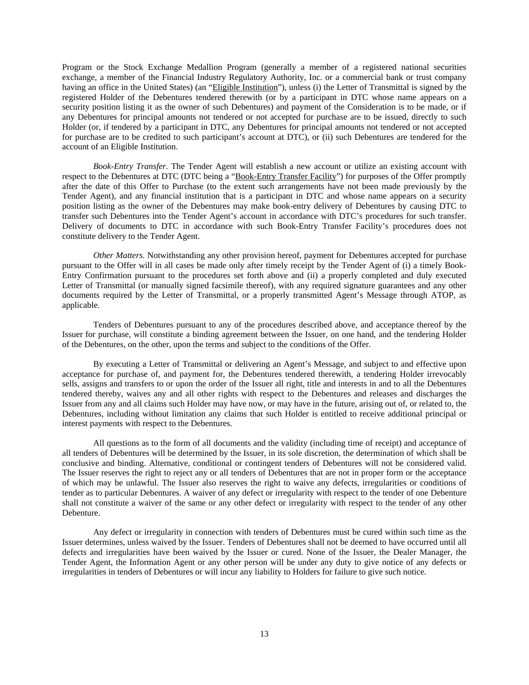Program or the Stock Exchange Medallion Program (generally a member of a registered national securities exchange, a member of the Financial Industry Regulatory Authority, Inc. or a commercial bank or trust company having an office in the United States) (an "Eligible Institution"), unless (i) the Letter of Transmittal is signed by the registered Holder of the Debentures tendered therewith (or by a participant in DTC whose name appears on a security position listing it as the owner of such Debentures) and payment of the Consideration is to be made, or if any Debentures for principal amounts not tendered or not accepted for purchase are to be issued, directly to such Holder (or, if tendered by a participant in DTC, any Debentures for principal amounts not tendered or not accepted for purchase are to be credited to such participant's account at DTC), or (ii) such Debentures are tendered for the account of an Eligible Institution.

*Book-Entry Transfer.* The Tender Agent will establish a new account or utilize an existing account with respect to the Debentures at DTC (DTC being a "Book-Entry Transfer Facility") for purposes of the Offer promptly after the date of this Offer to Purchase (to the extent such arrangements have not been made previously by the Tender Agent), and any financial institution that is a participant in DTC and whose name appears on a security position listing as the owner of the Debentures may make book-entry delivery of Debentures by causing DTC to transfer such Debentures into the Tender Agent's account in accordance with DTC's procedures for such transfer. Delivery of documents to DTC in accordance with such Book-Entry Transfer Facility's procedures does not constitute delivery to the Tender Agent.

*Other Matters.* Notwithstanding any other provision hereof, payment for Debentures accepted for purchase pursuant to the Offer will in all cases be made only after timely receipt by the Tender Agent of (i) a timely Book-Entry Confirmation pursuant to the procedures set forth above and (ii) a properly completed and duly executed Letter of Transmittal (or manually signed facsimile thereof), with any required signature guarantees and any other documents required by the Letter of Transmittal, or a properly transmitted Agent's Message through ATOP, as applicable.

Tenders of Debentures pursuant to any of the procedures described above, and acceptance thereof by the Issuer for purchase, will constitute a binding agreement between the Issuer, on one hand, and the tendering Holder of the Debentures, on the other, upon the terms and subject to the conditions of the Offer.

By executing a Letter of Transmittal or delivering an Agent's Message, and subject to and effective upon acceptance for purchase of, and payment for, the Debentures tendered therewith, a tendering Holder irrevocably sells, assigns and transfers to or upon the order of the Issuer all right, title and interests in and to all the Debentures tendered thereby, waives any and all other rights with respect to the Debentures and releases and discharges the Issuer from any and all claims such Holder may have now, or may have in the future, arising out of, or related to, the Debentures, including without limitation any claims that such Holder is entitled to receive additional principal or interest payments with respect to the Debentures.

All questions as to the form of all documents and the validity (including time of receipt) and acceptance of all tenders of Debentures will be determined by the Issuer, in its sole discretion, the determination of which shall be conclusive and binding. Alternative, conditional or contingent tenders of Debentures will not be considered valid. The Issuer reserves the right to reject any or all tenders of Debentures that are not in proper form or the acceptance of which may be unlawful. The Issuer also reserves the right to waive any defects, irregularities or conditions of tender as to particular Debentures. A waiver of any defect or irregularity with respect to the tender of one Debenture shall not constitute a waiver of the same or any other defect or irregularity with respect to the tender of any other Debenture.

Any defect or irregularity in connection with tenders of Debentures must be cured within such time as the Issuer determines, unless waived by the Issuer. Tenders of Debentures shall not be deemed to have occurred until all defects and irregularities have been waived by the Issuer or cured. None of the Issuer, the Dealer Manager, the Tender Agent, the Information Agent or any other person will be under any duty to give notice of any defects or irregularities in tenders of Debentures or will incur any liability to Holders for failure to give such notice.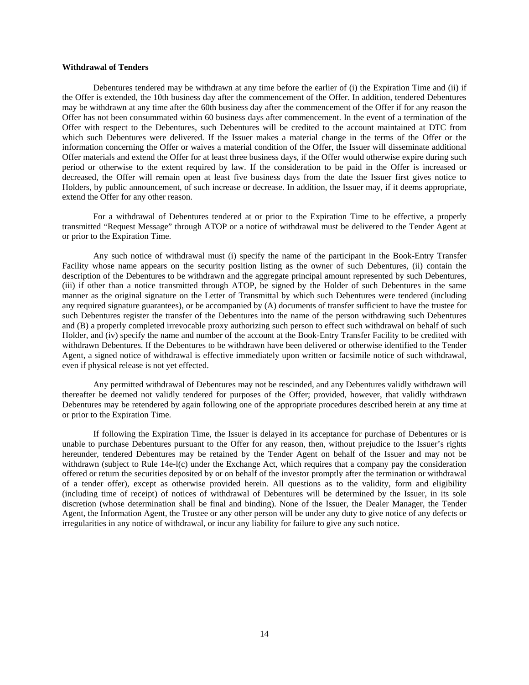## **Withdrawal of Tenders**

Debentures tendered may be withdrawn at any time before the earlier of (i) the Expiration Time and (ii) if the Offer is extended, the 10th business day after the commencement of the Offer. In addition, tendered Debentures may be withdrawn at any time after the 60th business day after the commencement of the Offer if for any reason the Offer has not been consummated within 60 business days after commencement. In the event of a termination of the Offer with respect to the Debentures, such Debentures will be credited to the account maintained at DTC from which such Debentures were delivered. If the Issuer makes a material change in the terms of the Offer or the information concerning the Offer or waives a material condition of the Offer, the Issuer will disseminate additional Offer materials and extend the Offer for at least three business days, if the Offer would otherwise expire during such period or otherwise to the extent required by law. If the consideration to be paid in the Offer is increased or decreased, the Offer will remain open at least five business days from the date the Issuer first gives notice to Holders, by public announcement, of such increase or decrease. In addition, the Issuer may, if it deems appropriate, extend the Offer for any other reason.

For a withdrawal of Debentures tendered at or prior to the Expiration Time to be effective, a properly transmitted "Request Message" through ATOP or a notice of withdrawal must be delivered to the Tender Agent at or prior to the Expiration Time.

Any such notice of withdrawal must (i) specify the name of the participant in the Book-Entry Transfer Facility whose name appears on the security position listing as the owner of such Debentures, (ii) contain the description of the Debentures to be withdrawn and the aggregate principal amount represented by such Debentures, (iii) if other than a notice transmitted through ATOP, be signed by the Holder of such Debentures in the same manner as the original signature on the Letter of Transmittal by which such Debentures were tendered (including any required signature guarantees), or be accompanied by (A) documents of transfer sufficient to have the trustee for such Debentures register the transfer of the Debentures into the name of the person withdrawing such Debentures and (B) a properly completed irrevocable proxy authorizing such person to effect such withdrawal on behalf of such Holder, and (iv) specify the name and number of the account at the Book-Entry Transfer Facility to be credited with withdrawn Debentures. If the Debentures to be withdrawn have been delivered or otherwise identified to the Tender Agent, a signed notice of withdrawal is effective immediately upon written or facsimile notice of such withdrawal, even if physical release is not yet effected.

Any permitted withdrawal of Debentures may not be rescinded, and any Debentures validly withdrawn will thereafter be deemed not validly tendered for purposes of the Offer; provided, however, that validly withdrawn Debentures may be retendered by again following one of the appropriate procedures described herein at any time at or prior to the Expiration Time.

If following the Expiration Time, the Issuer is delayed in its acceptance for purchase of Debentures or is unable to purchase Debentures pursuant to the Offer for any reason, then, without prejudice to the Issuer's rights hereunder, tendered Debentures may be retained by the Tender Agent on behalf of the Issuer and may not be withdrawn (subject to Rule 14e-l(c) under the Exchange Act, which requires that a company pay the consideration offered or return the securities deposited by or on behalf of the investor promptly after the termination or withdrawal of a tender offer), except as otherwise provided herein. All questions as to the validity, form and eligibility (including time of receipt) of notices of withdrawal of Debentures will be determined by the Issuer, in its sole discretion (whose determination shall be final and binding). None of the Issuer, the Dealer Manager, the Tender Agent, the Information Agent, the Trustee or any other person will be under any duty to give notice of any defects or irregularities in any notice of withdrawal, or incur any liability for failure to give any such notice.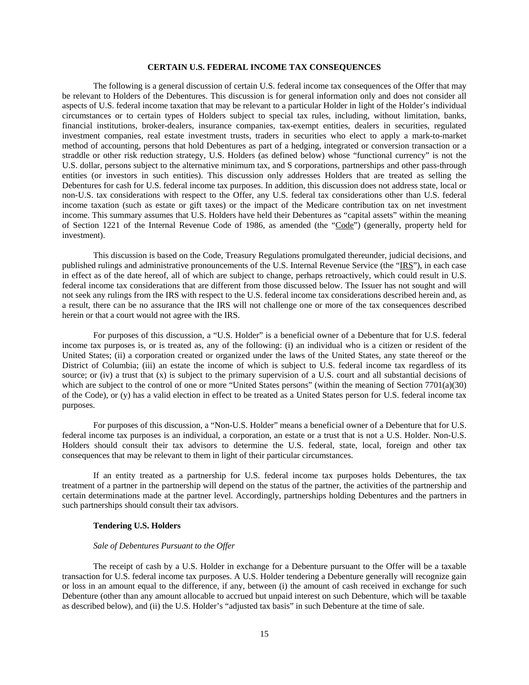## **CERTAIN U.S. FEDERAL INCOME TAX CONSEQUENCES**

The following is a general discussion of certain U.S. federal income tax consequences of the Offer that may be relevant to Holders of the Debentures. This discussion is for general information only and does not consider all aspects of U.S. federal income taxation that may be relevant to a particular Holder in light of the Holder's individual circumstances or to certain types of Holders subject to special tax rules, including, without limitation, banks, financial institutions, broker-dealers, insurance companies, tax-exempt entities, dealers in securities, regulated investment companies, real estate investment trusts, traders in securities who elect to apply a mark-to-market method of accounting, persons that hold Debentures as part of a hedging, integrated or conversion transaction or a straddle or other risk reduction strategy, U.S. Holders (as defined below) whose "functional currency" is not the U.S. dollar, persons subject to the alternative minimum tax, and S corporations, partnerships and other pass-through entities (or investors in such entities). This discussion only addresses Holders that are treated as selling the Debentures for cash for U.S. federal income tax purposes. In addition, this discussion does not address state, local or non-U.S. tax considerations with respect to the Offer, any U.S. federal tax considerations other than U.S. federal income taxation (such as estate or gift taxes) or the impact of the Medicare contribution tax on net investment income. This summary assumes that U.S. Holders have held their Debentures as "capital assets" within the meaning of Section 1221 of the Internal Revenue Code of 1986, as amended (the "Code") (generally, property held for investment).

This discussion is based on the Code, Treasury Regulations promulgated thereunder, judicial decisions, and published rulings and administrative pronouncements of the U.S. Internal Revenue Service (the "IRS"), in each case in effect as of the date hereof, all of which are subject to change, perhaps retroactively, which could result in U.S. federal income tax considerations that are different from those discussed below. The Issuer has not sought and will not seek any rulings from the IRS with respect to the U.S. federal income tax considerations described herein and, as a result, there can be no assurance that the IRS will not challenge one or more of the tax consequences described herein or that a court would not agree with the IRS.

For purposes of this discussion, a "U.S. Holder" is a beneficial owner of a Debenture that for U.S. federal income tax purposes is, or is treated as, any of the following: (i) an individual who is a citizen or resident of the United States; (ii) a corporation created or organized under the laws of the United States, any state thereof or the District of Columbia; (iii) an estate the income of which is subject to U.S. federal income tax regardless of its source; or (iv) a trust that  $(x)$  is subject to the primary supervision of a U.S. court and all substantial decisions of which are subject to the control of one or more "United States persons" (within the meaning of Section 7701(a)(30) of the Code), or (y) has a valid election in effect to be treated as a United States person for U.S. federal income tax purposes.

For purposes of this discussion, a "Non-U.S. Holder" means a beneficial owner of a Debenture that for U.S. federal income tax purposes is an individual, a corporation, an estate or a trust that is not a U.S. Holder. Non-U.S. Holders should consult their tax advisors to determine the U.S. federal, state, local, foreign and other tax consequences that may be relevant to them in light of their particular circumstances.

If an entity treated as a partnership for U.S. federal income tax purposes holds Debentures, the tax treatment of a partner in the partnership will depend on the status of the partner, the activities of the partnership and certain determinations made at the partner level. Accordingly, partnerships holding Debentures and the partners in such partnerships should consult their tax advisors.

#### **Tendering U.S. Holders**

#### *Sale of Debentures Pursuant to the Offer*

The receipt of cash by a U.S. Holder in exchange for a Debenture pursuant to the Offer will be a taxable transaction for U.S. federal income tax purposes. A U.S. Holder tendering a Debenture generally will recognize gain or loss in an amount equal to the difference, if any, between (i) the amount of cash received in exchange for such Debenture (other than any amount allocable to accrued but unpaid interest on such Debenture, which will be taxable as described below), and (ii) the U.S. Holder's "adjusted tax basis" in such Debenture at the time of sale.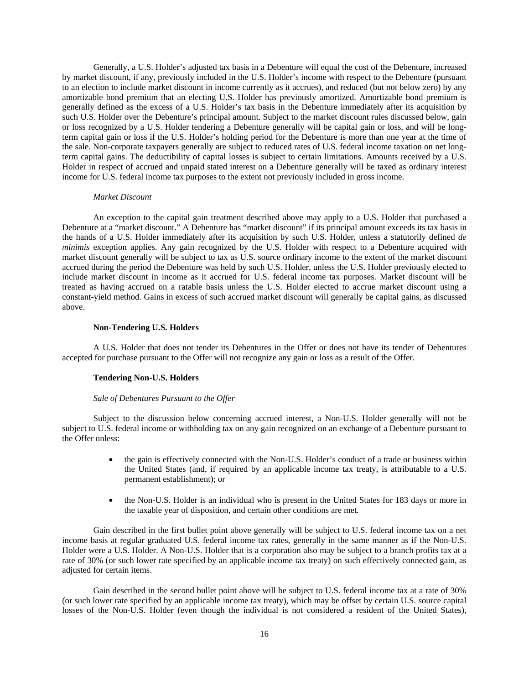Generally, a U.S. Holder's adjusted tax basis in a Debenture will equal the cost of the Debenture, increased by market discount, if any, previously included in the U.S. Holder's income with respect to the Debenture (pursuant to an election to include market discount in income currently as it accrues), and reduced (but not below zero) by any amortizable bond premium that an electing U.S. Holder has previously amortized. Amortizable bond premium is generally defined as the excess of a U.S. Holder's tax basis in the Debenture immediately after its acquisition by such U.S. Holder over the Debenture's principal amount. Subject to the market discount rules discussed below, gain or loss recognized by a U.S. Holder tendering a Debenture generally will be capital gain or loss, and will be longterm capital gain or loss if the U.S. Holder's holding period for the Debenture is more than one year at the time of the sale. Non-corporate taxpayers generally are subject to reduced rates of U.S. federal income taxation on net longterm capital gains. The deductibility of capital losses is subject to certain limitations. Amounts received by a U.S. Holder in respect of accrued and unpaid stated interest on a Debenture generally will be taxed as ordinary interest income for U.S. federal income tax purposes to the extent not previously included in gross income.

#### *Market Discount*

An exception to the capital gain treatment described above may apply to a U.S. Holder that purchased a Debenture at a "market discount." A Debenture has "market discount" if its principal amount exceeds its tax basis in the hands of a U.S. Holder immediately after its acquisition by such U.S. Holder, unless a statutorily defined *de minimis* exception applies. Any gain recognized by the U.S. Holder with respect to a Debenture acquired with market discount generally will be subject to tax as U.S. source ordinary income to the extent of the market discount accrued during the period the Debenture was held by such U.S. Holder, unless the U.S. Holder previously elected to include market discount in income as it accrued for U.S. federal income tax purposes. Market discount will be treated as having accrued on a ratable basis unless the U.S. Holder elected to accrue market discount using a constant-yield method. Gains in excess of such accrued market discount will generally be capital gains, as discussed above.

## **Non-Tendering U.S. Holders**

A U.S. Holder that does not tender its Debentures in the Offer or does not have its tender of Debentures accepted for purchase pursuant to the Offer will not recognize any gain or loss as a result of the Offer.

## **Tendering Non-U.S. Holders**

#### *Sale of Debentures Pursuant to the Offer*

Subject to the discussion below concerning accrued interest, a Non-U.S. Holder generally will not be subject to U.S. federal income or withholding tax on any gain recognized on an exchange of a Debenture pursuant to the Offer unless:

- the gain is effectively connected with the Non-U.S. Holder's conduct of a trade or business within the United States (and, if required by an applicable income tax treaty, is attributable to a U.S. permanent establishment); or
- the Non-U.S. Holder is an individual who is present in the United States for 183 days or more in the taxable year of disposition, and certain other conditions are met.

Gain described in the first bullet point above generally will be subject to U.S. federal income tax on a net income basis at regular graduated U.S. federal income tax rates, generally in the same manner as if the Non-U.S. Holder were a U.S. Holder. A Non-U.S. Holder that is a corporation also may be subject to a branch profits tax at a rate of 30% (or such lower rate specified by an applicable income tax treaty) on such effectively connected gain, as adjusted for certain items.

Gain described in the second bullet point above will be subject to U.S. federal income tax at a rate of 30% (or such lower rate specified by an applicable income tax treaty), which may be offset by certain U.S. source capital losses of the Non-U.S. Holder (even though the individual is not considered a resident of the United States),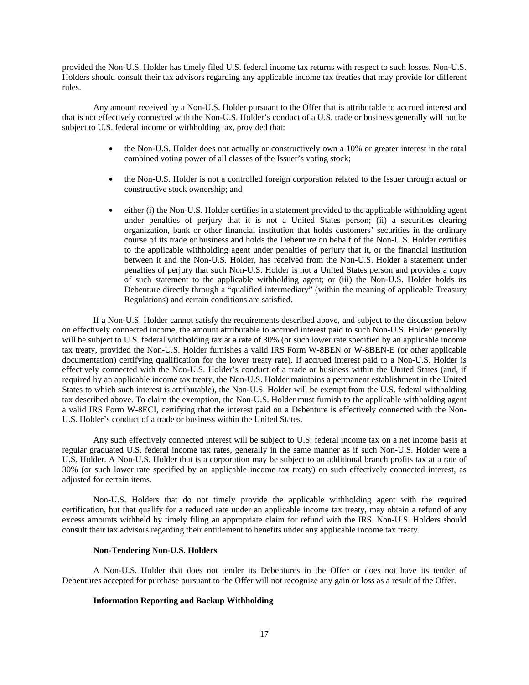provided the Non-U.S. Holder has timely filed U.S. federal income tax returns with respect to such losses. Non-U.S. Holders should consult their tax advisors regarding any applicable income tax treaties that may provide for different rules.

Any amount received by a Non-U.S. Holder pursuant to the Offer that is attributable to accrued interest and that is not effectively connected with the Non-U.S. Holder's conduct of a U.S. trade or business generally will not be subject to U.S. federal income or withholding tax, provided that:

- the Non-U.S. Holder does not actually or constructively own a 10% or greater interest in the total combined voting power of all classes of the Issuer's voting stock;
- the Non-U.S. Holder is not a controlled foreign corporation related to the Issuer through actual or constructive stock ownership; and
- either (i) the Non-U.S. Holder certifies in a statement provided to the applicable withholding agent under penalties of perjury that it is not a United States person; (ii) a securities clearing organization, bank or other financial institution that holds customers' securities in the ordinary course of its trade or business and holds the Debenture on behalf of the Non-U.S. Holder certifies to the applicable withholding agent under penalties of perjury that it, or the financial institution between it and the Non-U.S. Holder, has received from the Non-U.S. Holder a statement under penalties of perjury that such Non-U.S. Holder is not a United States person and provides a copy of such statement to the applicable withholding agent; or (iii) the Non-U.S. Holder holds its Debenture directly through a "qualified intermediary" (within the meaning of applicable Treasury Regulations) and certain conditions are satisfied.

If a Non-U.S. Holder cannot satisfy the requirements described above, and subject to the discussion below on effectively connected income, the amount attributable to accrued interest paid to such Non-U.S. Holder generally will be subject to U.S. federal withholding tax at a rate of 30% (or such lower rate specified by an applicable income tax treaty, provided the Non-U.S. Holder furnishes a valid IRS Form W-8BEN or W-8BEN-E (or other applicable documentation) certifying qualification for the lower treaty rate). If accrued interest paid to a Non-U.S. Holder is effectively connected with the Non-U.S. Holder's conduct of a trade or business within the United States (and, if required by an applicable income tax treaty, the Non-U.S. Holder maintains a permanent establishment in the United States to which such interest is attributable), the Non-U.S. Holder will be exempt from the U.S. federal withholding tax described above. To claim the exemption, the Non-U.S. Holder must furnish to the applicable withholding agent a valid IRS Form W-8ECI, certifying that the interest paid on a Debenture is effectively connected with the Non-U.S. Holder's conduct of a trade or business within the United States.

Any such effectively connected interest will be subject to U.S. federal income tax on a net income basis at regular graduated U.S. federal income tax rates, generally in the same manner as if such Non-U.S. Holder were a U.S. Holder. A Non-U.S. Holder that is a corporation may be subject to an additional branch profits tax at a rate of 30% (or such lower rate specified by an applicable income tax treaty) on such effectively connected interest, as adjusted for certain items.

Non-U.S. Holders that do not timely provide the applicable withholding agent with the required certification, but that qualify for a reduced rate under an applicable income tax treaty, may obtain a refund of any excess amounts withheld by timely filing an appropriate claim for refund with the IRS. Non-U.S. Holders should consult their tax advisors regarding their entitlement to benefits under any applicable income tax treaty.

#### **Non-Tendering Non-U.S. Holders**

A Non-U.S. Holder that does not tender its Debentures in the Offer or does not have its tender of Debentures accepted for purchase pursuant to the Offer will not recognize any gain or loss as a result of the Offer.

## **Information Reporting and Backup Withholding**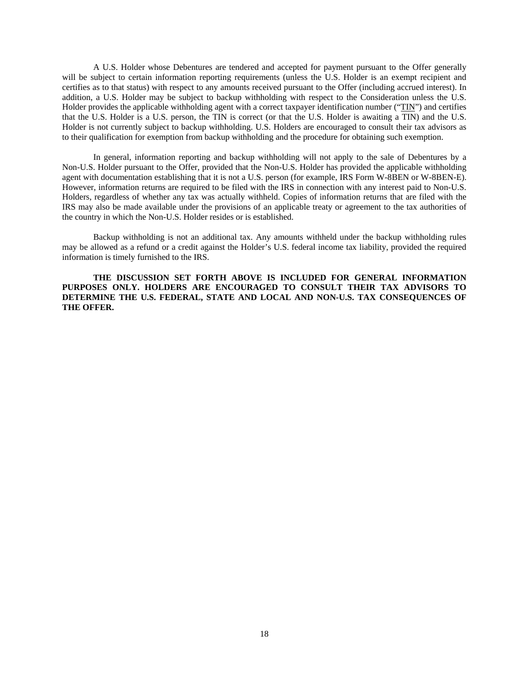A U.S. Holder whose Debentures are tendered and accepted for payment pursuant to the Offer generally will be subject to certain information reporting requirements (unless the U.S. Holder is an exempt recipient and certifies as to that status) with respect to any amounts received pursuant to the Offer (including accrued interest). In addition, a U.S. Holder may be subject to backup withholding with respect to the Consideration unless the U.S. Holder provides the applicable withholding agent with a correct taxpayer identification number ("TIN") and certifies that the U.S. Holder is a U.S. person, the TIN is correct (or that the U.S. Holder is awaiting a TIN) and the U.S. Holder is not currently subject to backup withholding. U.S. Holders are encouraged to consult their tax advisors as to their qualification for exemption from backup withholding and the procedure for obtaining such exemption.

In general, information reporting and backup withholding will not apply to the sale of Debentures by a Non-U.S. Holder pursuant to the Offer, provided that the Non-U.S. Holder has provided the applicable withholding agent with documentation establishing that it is not a U.S. person (for example, IRS Form W-8BEN or W-8BEN-E). However, information returns are required to be filed with the IRS in connection with any interest paid to Non-U.S. Holders, regardless of whether any tax was actually withheld. Copies of information returns that are filed with the IRS may also be made available under the provisions of an applicable treaty or agreement to the tax authorities of the country in which the Non-U.S. Holder resides or is established.

Backup withholding is not an additional tax. Any amounts withheld under the backup withholding rules may be allowed as a refund or a credit against the Holder's U.S. federal income tax liability, provided the required information is timely furnished to the IRS.

**THE DISCUSSION SET FORTH ABOVE IS INCLUDED FOR GENERAL INFORMATION PURPOSES ONLY. HOLDERS ARE ENCOURAGED TO CONSULT THEIR TAX ADVISORS TO DETERMINE THE U.S. FEDERAL, STATE AND LOCAL AND NON-U.S. TAX CONSEQUENCES OF THE OFFER.**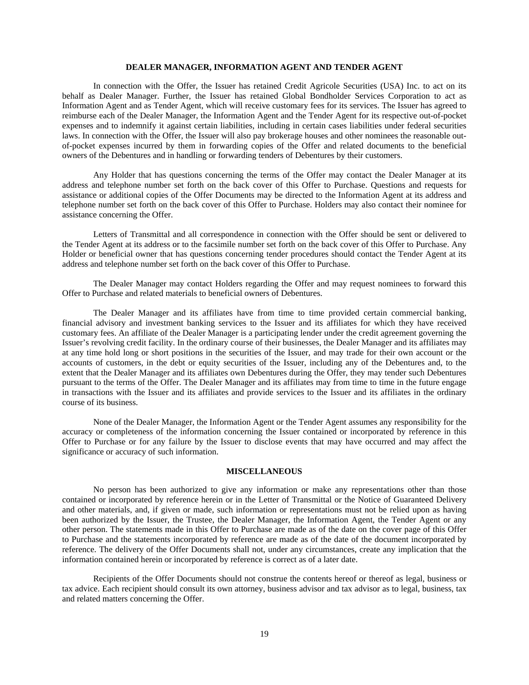## **DEALER MANAGER, INFORMATION AGENT AND TENDER AGENT**

In connection with the Offer, the Issuer has retained Credit Agricole Securities (USA) Inc. to act on its behalf as Dealer Manager. Further, the Issuer has retained Global Bondholder Services Corporation to act as Information Agent and as Tender Agent, which will receive customary fees for its services. The Issuer has agreed to reimburse each of the Dealer Manager, the Information Agent and the Tender Agent for its respective out-of-pocket expenses and to indemnify it against certain liabilities, including in certain cases liabilities under federal securities laws. In connection with the Offer, the Issuer will also pay brokerage houses and other nominees the reasonable outof-pocket expenses incurred by them in forwarding copies of the Offer and related documents to the beneficial owners of the Debentures and in handling or forwarding tenders of Debentures by their customers.

Any Holder that has questions concerning the terms of the Offer may contact the Dealer Manager at its address and telephone number set forth on the back cover of this Offer to Purchase. Questions and requests for assistance or additional copies of the Offer Documents may be directed to the Information Agent at its address and telephone number set forth on the back cover of this Offer to Purchase. Holders may also contact their nominee for assistance concerning the Offer.

Letters of Transmittal and all correspondence in connection with the Offer should be sent or delivered to the Tender Agent at its address or to the facsimile number set forth on the back cover of this Offer to Purchase. Any Holder or beneficial owner that has questions concerning tender procedures should contact the Tender Agent at its address and telephone number set forth on the back cover of this Offer to Purchase.

The Dealer Manager may contact Holders regarding the Offer and may request nominees to forward this Offer to Purchase and related materials to beneficial owners of Debentures.

The Dealer Manager and its affiliates have from time to time provided certain commercial banking, financial advisory and investment banking services to the Issuer and its affiliates for which they have received customary fees. An affiliate of the Dealer Manager is a participating lender under the credit agreement governing the Issuer's revolving credit facility. In the ordinary course of their businesses, the Dealer Manager and its affiliates may at any time hold long or short positions in the securities of the Issuer, and may trade for their own account or the accounts of customers, in the debt or equity securities of the Issuer, including any of the Debentures and, to the extent that the Dealer Manager and its affiliates own Debentures during the Offer, they may tender such Debentures pursuant to the terms of the Offer. The Dealer Manager and its affiliates may from time to time in the future engage in transactions with the Issuer and its affiliates and provide services to the Issuer and its affiliates in the ordinary course of its business.

None of the Dealer Manager, the Information Agent or the Tender Agent assumes any responsibility for the accuracy or completeness of the information concerning the Issuer contained or incorporated by reference in this Offer to Purchase or for any failure by the Issuer to disclose events that may have occurred and may affect the significance or accuracy of such information.

## **MISCELLANEOUS**

No person has been authorized to give any information or make any representations other than those contained or incorporated by reference herein or in the Letter of Transmittal or the Notice of Guaranteed Delivery and other materials, and, if given or made, such information or representations must not be relied upon as having been authorized by the Issuer, the Trustee, the Dealer Manager, the Information Agent, the Tender Agent or any other person. The statements made in this Offer to Purchase are made as of the date on the cover page of this Offer to Purchase and the statements incorporated by reference are made as of the date of the document incorporated by reference. The delivery of the Offer Documents shall not, under any circumstances, create any implication that the information contained herein or incorporated by reference is correct as of a later date.

Recipients of the Offer Documents should not construe the contents hereof or thereof as legal, business or tax advice. Each recipient should consult its own attorney, business advisor and tax advisor as to legal, business, tax and related matters concerning the Offer.